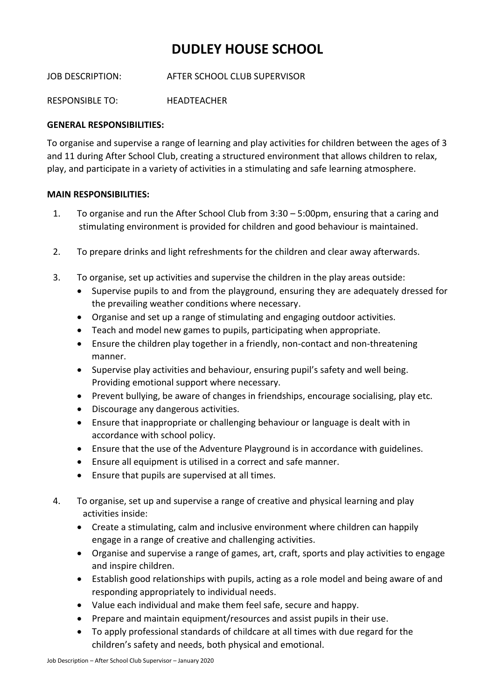## **DUDLEY HOUSE SCHOOL**

JOB DESCRIPTION: AFTER SCHOOL CLUB SUPERVISOR

RESPONSIBLE TO: HEADTEACHER

## **GENERAL RESPONSIBILITIES:**

To organise and supervise a range of learning and play activities for children between the ages of 3 and 11 during After School Club, creating a structured environment that allows children to relax, play, and participate in a variety of activities in a stimulating and safe learning atmosphere.

## **MAIN RESPONSIBILITIES:**

- 1. To organise and run the After School Club from 3:30 5:00pm, ensuring that a caring and stimulating environment is provided for children and good behaviour is maintained.
- 2. To prepare drinks and light refreshments for the children and clear away afterwards.
- 3. To organise, set up activities and supervise the children in the play areas outside:
	- Supervise pupils to and from the playground, ensuring they are adequately dressed for the prevailing weather conditions where necessary.
	- Organise and set up a range of stimulating and engaging outdoor activities.
	- Teach and model new games to pupils, participating when appropriate.
	- Ensure the children play together in a friendly, non-contact and non-threatening manner.
	- Supervise play activities and behaviour, ensuring pupil's safety and well being. Providing emotional support where necessary.
	- Prevent bullying, be aware of changes in friendships, encourage socialising, play etc.
	- Discourage any dangerous activities.
	- Ensure that inappropriate or challenging behaviour or language is dealt with in accordance with school policy.
	- Ensure that the use of the Adventure Playground is in accordance with guidelines.
	- Ensure all equipment is utilised in a correct and safe manner.
	- Ensure that pupils are supervised at all times.
- 4. To organise, set up and supervise a range of creative and physical learning and play activities inside:
	- Create a stimulating, calm and inclusive environment where children can happily engage in a range of creative and challenging activities.
	- Organise and supervise a range of games, art, craft, sports and play activities to engage and inspire children.
	- Establish good relationships with pupils, acting as a role model and being aware of and responding appropriately to individual needs.
	- Value each individual and make them feel safe, secure and happy.
	- Prepare and maintain equipment/resources and assist pupils in their use.
	- To apply professional standards of childcare at all times with due regard for the children's safety and needs, both physical and emotional.